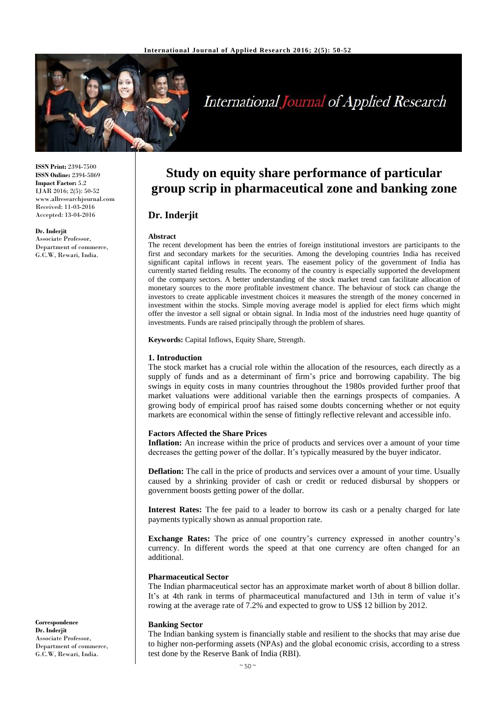

# **International Journal of Applied Research**

**ISSN Print:** 2394-7500 **ISSN Online:** 2394-5869 **Impact Factor:** 5.2 IJAR 2016; 2(5): 50-52 www.allresearchjournal.com Received: 11-03-2016 Accepted: 13-04-2016

**Dr. Inderjit** Associate Professor, Department of commerce, G.C.W, Rewari, India.

## **Study on equity share performance of particular group scrip in pharmaceutical zone and banking zone**

### **Dr. Inderjit**

#### **Abstract**

The recent development has been the entries of foreign institutional investors are participants to the first and secondary markets for the securities. Among the developing countries India has received significant capital inflows in recent years. The easement policy of the government of India has currently started fielding results. The economy of the country is especially supported the development of the company sectors. A better understanding of the stock market trend can facilitate allocation of monetary sources to the more profitable investment chance. The behaviour of stock can change the investors to create applicable investment choices it measures the strength of the money concerned in investment within the stocks. Simple moving average model is applied for elect firms which might offer the investor a sell signal or obtain signal. In India most of the industries need huge quantity of investments. Funds are raised principally through the problem of shares.

**Keywords:** Capital Inflows, Equity Share, Strength.

#### **1. Introduction**

The stock market has a crucial role within the allocation of the resources, each directly as a supply of funds and as a determinant of firm's price and borrowing capability. The big swings in equity costs in many countries throughout the 1980s provided further proof that market valuations were additional variable then the earnings prospects of companies. A growing body of empirical proof has raised some doubts concerning whether or not equity markets are economical within the sense of fittingly reflective relevant and accessible info.

#### **Factors Affected the Share Prices**

**Inflation:** An increase within the price of products and services over a amount of your time decreases the getting power of the dollar. It's typically measured by the buyer indicator.

**Deflation:** The call in the price of products and services over a amount of your time. Usually caused by a shrinking provider of cash or credit or reduced disbursal by shoppers or government boosts getting power of the dollar.

**Interest Rates:** The fee paid to a leader to borrow its cash or a penalty charged for late payments typically shown as annual proportion rate.

**Exchange Rates:** The price of one country's currency expressed in another country's currency. In different words the speed at that one currency are often changed for an additional.

#### **Pharmaceutical Sector**

The Indian pharmaceutical sector has an approximate market worth of about 8 billion dollar. It's at 4th rank in terms of pharmaceutical manufactured and 13th in term of value it's rowing at the average rate of 7.2% and expected to grow to US\$ 12 billion by 2012.

#### **Banking Sector**

The Indian banking system is financially stable and resilient to the shocks that may arise due to higher non-performing assets (NPAs) and the global economic crisis, according to a stress test done by the Reserve Bank of India (RBI).

**Correspondence Dr. Inderjit** Associate Professor, Department of commerce, G.C.W, Rewari, India.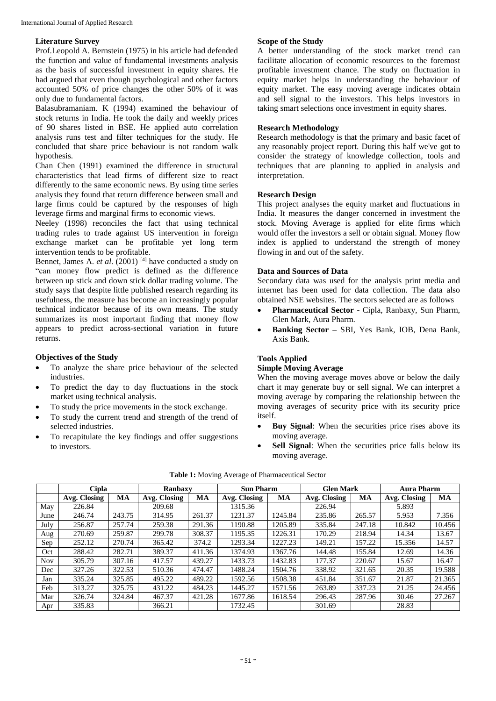#### **Literature Survey**

Prof.Leopold A. Bernstein (1975) in his article had defended the function and value of fundamental investments analysis as the basis of successful investment in equity shares. He had argued that even though psychological and other factors accounted 50% of price changes the other 50% of it was only due to fundamental factors.

Balasubramaniam. K (1994) examined the behaviour of stock returns in India. He took the daily and weekly prices of 90 shares listed in BSE. He applied auto correlation analysis runs test and filter techniques for the study. He concluded that share price behaviour is not random walk hypothesis.

Chan Chen (1991) examined the difference in structural characteristics that lead firms of different size to react differently to the same economic news. By using time series analysis they found that return difference between small and large firms could be captured by the responses of high leverage firms and marginal firms to economic views.

Neeley (1998) reconciles the fact that using technical trading rules to trade against US intervention in foreign exchange market can be profitable yet long term intervention tends to be profitable.

Bennet, James A. *et al*. (2001) [4] have conducted a study on "can money flow predict is defined as the difference between up stick and down stick dollar trading volume. The study says that despite little published research regarding its usefulness, the measure has become an increasingly popular technical indicator because of its own means. The study summarizes its most important finding that money flow appears to predict across-sectional variation in future returns.

#### **Objectives of the Study**

- To analyze the share price behaviour of the selected industries.
- To predict the day to day fluctuations in the stock market using technical analysis.
- To study the price movements in the stock exchange.
- To study the current trend and strength of the trend of selected industries.
- To recapitulate the key findings and offer suggestions to investors.

#### **Scope of the Study**

A better understanding of the stock market trend can facilitate allocation of economic resources to the foremost profitable investment chance. The study on fluctuation in equity market helps in understanding the behaviour of equity market. The easy moving average indicates obtain and sell signal to the investors. This helps investors in taking smart selections once investment in equity shares.

#### **Research Methodology**

Research methodology is that the primary and basic facet of any reasonably project report. During this half we've got to consider the strategy of knowledge collection, tools and techniques that are planning to applied in analysis and interpretation.

#### **Research Design**

This project analyses the equity market and fluctuations in India. It measures the danger concerned in investment the stock. Moving Average is applied for elite firms which would offer the investors a sell or obtain signal. Money flow index is applied to understand the strength of money flowing in and out of the safety.

#### **Data and Sources of Data**

Secondary data was used for the analysis print media and internet has been used for data collection. The data also obtained NSE websites. The sectors selected are as follows

- **Pharmaceutical Sector**  Cipla, Ranbaxy, Sun Pharm, Glen Mark, Aura Pharm.
- **Banking Sector –** SBI, Yes Bank, IOB, Dena Bank, Axis Bank.

#### **Tools Applied**

#### **Simple Moving Average**

When the moving average moves above or below the daily chart it may generate buy or sell signal. We can interpret a moving average by comparing the relationship between the moving averages of security price with its security price itself.

- **Buy Signal**: When the securities price rises above its moving average.
- Sell Signal: When the securities price falls below its moving average.

|            | <b>Cipla</b> |           | Ranbaxy      |        | <b>Sun Pharm</b> |           | <b>Glen Mark</b> |           | <b>Aura Pharm</b> |        |
|------------|--------------|-----------|--------------|--------|------------------|-----------|------------------|-----------|-------------------|--------|
|            | Avg. Closing | <b>MA</b> | Avg. Closing | MA     | Avg. Closing     | <b>MA</b> | Avg. Closing     | <b>MA</b> | Avg. Closing      | MA     |
| May        | 226.84       |           | 209.68       |        | 1315.36          |           | 226.94           |           | 5.893             |        |
| June       | 246.74       | 243.75    | 314.95       | 261.37 | 1231.37          | 1245.84   | 235.86           | 265.57    | 5.953             | 7.356  |
| July       | 256.87       | 257.74    | 259.38       | 291.36 | 1190.88          | 1205.89   | 335.84           | 247.18    | 10.842            | 10.456 |
| Aug        | 270.69       | 259.87    | 299.78       | 308.37 | 1195.35          | 1226.31   | 170.29           | 218.94    | 14.34             | 13.67  |
| Sep        | 252.12       | 270.74    | 365.42       | 374.2  | 1293.34          | 1227.23   | 149.21           | 157.22    | 15.356            | 14.57  |
| Oct        | 288.42       | 282.71    | 389.37       | 411.36 | 1374.93          | 1367.76   | 144.48           | 155.84    | 12.69             | 14.36  |
| <b>Nov</b> | 305.79       | 307.16    | 417.57       | 439.27 | 1433.73          | 1432.83   | 177.37           | 220.67    | 15.67             | 16.47  |
| Dec        | 327.26       | 322.53    | 510.36       | 474.47 | 1488.24          | 1504.76   | 338.92           | 321.65    | 20.35             | 19.588 |
| Jan        | 335.24       | 325.85    | 495.22       | 489.22 | 1592.56          | 1508.38   | 451.84           | 351.67    | 21.87             | 21.365 |
| Feb        | 313.27       | 325.75    | 431.22       | 484.23 | 1445.27          | 1571.56   | 263.89           | 337.23    | 21.25             | 24.456 |
| Mar        | 326.74       | 324.84    | 467.37       | 421.28 | 1677.86          | 1618.54   | 296.43           | 287.96    | 30.46             | 27.267 |
| Apr        | 335.83       |           | 366.21       |        | 1732.45          |           | 301.69           |           | 28.83             |        |

**Table 1:** Moving Average of Pharmaceutical Sector